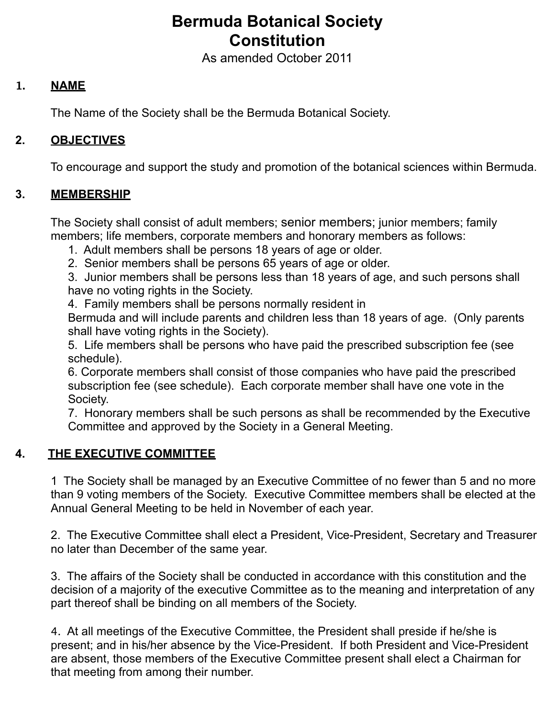# **Bermuda Botanical Society Constitution**

As amended October 2011

## **1. NAME**

The Name of the Society shall be the Bermuda Botanical Society.

## **2. OBJECTIVES**

To encourage and support the study and promotion of the botanical sciences within Bermuda.

## **3. MEMBERSHIP**

 The Society shall consist of adult members; senior members; junior members; family members; life members, corporate members and honorary members as follows:

- 1. Adult members shall be persons 18 years of age or older.
- 2. Senior members shall be persons 65 years of age or older.

 3. Junior members shall be persons less than 18 years of age, and such persons shall have no voting rights in the Society.

4. Family members shall be persons normally resident in

Bermuda and will include parents and children less than 18 years of age. (Only parents shall have voting rights in the Society).

 5. Life members shall be persons who have paid the prescribed subscription fee (see schedule).

 6. Corporate members shall consist of those companies who have paid the prescribed subscription fee (see schedule). Each corporate member shall have one vote in the Society.

 7. Honorary members shall be such persons as shall be recommended by the Executive Committee and approved by the Society in a General Meeting.

## **4. THE EXECUTIVE COMMITTEE**

 1 The Society shall be managed by an Executive Committee of no fewer than 5 and no more than 9 voting members of the Society. Executive Committee members shall be elected at the Annual General Meeting to be held in November of each year.

 2. The Executive Committee shall elect a President, Vice-President, Secretary and Treasurer no later than December of the same year.

 3. The affairs of the Society shall be conducted in accordance with this constitution and the decision of a majority of the executive Committee as to the meaning and interpretation of any part thereof shall be binding on all members of the Society.

4. At all meetings of the Executive Committee, the President shall preside if he/she is present; and in his/her absence by the Vice-President. If both President and Vice-President are absent, those members of the Executive Committee present shall elect a Chairman for that meeting from among their number.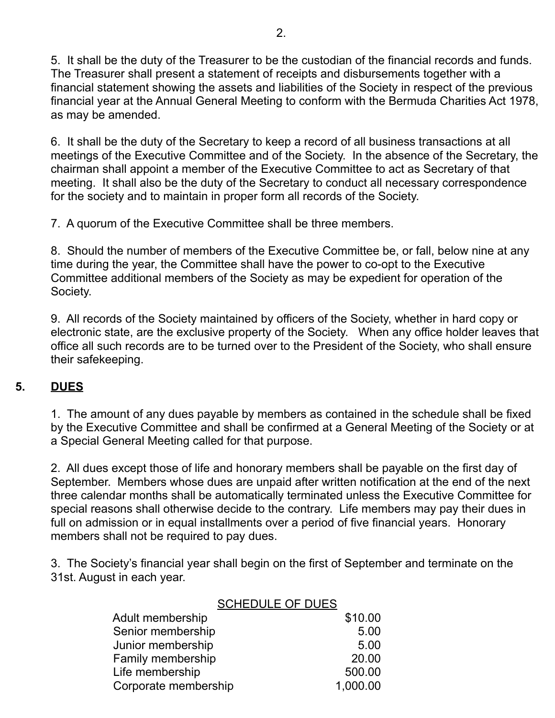5. It shall be the duty of the Treasurer to be the custodian of the financial records and funds. The Treasurer shall present a statement of receipts and disbursements together with a financial statement showing the assets and liabilities of the Society in respect of the previous financial year at the Annual General Meeting to conform with the Bermuda Charities Act 1978, as may be amended.

 6. It shall be the duty of the Secretary to keep a record of all business transactions at all meetings of the Executive Committee and of the Society. In the absence of the Secretary, the chairman shall appoint a member of the Executive Committee to act as Secretary of that meeting. It shall also be the duty of the Secretary to conduct all necessary correspondence for the society and to maintain in proper form all records of the Society.

7. A quorum of the Executive Committee shall be three members.

 8. Should the number of members of the Executive Committee be, or fall, below nine at any time during the year, the Committee shall have the power to co-opt to the Executive Committee additional members of the Society as may be expedient for operation of the Society.

 9. All records of the Society maintained by officers of the Society, whether in hard copy or electronic state, are the exclusive property of the Society. When any office holder leaves that office all such records are to be turned over to the President of the Society, who shall ensure their safekeeping.

## **5. DUES**

 1. The amount of any dues payable by members as contained in the schedule shall be fixed by the Executive Committee and shall be confirmed at a General Meeting of the Society or at a Special General Meeting called for that purpose.

 2. All dues except those of life and honorary members shall be payable on the first day of September. Members whose dues are unpaid after written notification at the end of the next three calendar months shall be automatically terminated unless the Executive Committee for special reasons shall otherwise decide to the contrary. Life members may pay their dues in full on admission or in equal installments over a period of five financial years. Honorary members shall not be required to pay dues.

 3. The Society's financial year shall begin on the first of September and terminate on the 31st. August in each year.

|                      | <b>SCHEDULE OF DUES</b> |
|----------------------|-------------------------|
| Adult membership     | \$10.00                 |
| Senior membership    | 5.00                    |
| Junior membership    | 5.00                    |
| Family membership    | 20.00                   |
| Life membership      | 500.00                  |
| Corporate membership | 1,000.00                |
|                      |                         |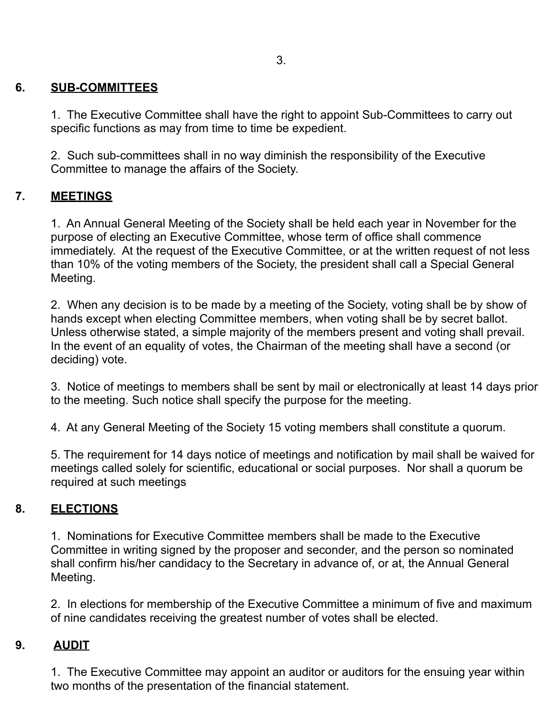## **6. SUB-COMMITTEES**

 1. The Executive Committee shall have the right to appoint Sub-Committees to carry out specific functions as may from time to time be expedient.

 2. Such sub-committees shall in no way diminish the responsibility of the Executive Committee to manage the affairs of the Society.

# **7. MEETINGS**

 1. An Annual General Meeting of the Society shall be held each year in November for the purpose of electing an Executive Committee, whose term of office shall commence immediately. At the request of the Executive Committee, or at the written request of not less than 10% of the voting members of the Society, the president shall call a Special General Meeting.

 2. When any decision is to be made by a meeting of the Society, voting shall be by show of hands except when electing Committee members, when voting shall be by secret ballot. Unless otherwise stated, a simple majority of the members present and voting shall prevail. In the event of an equality of votes, the Chairman of the meeting shall have a second (or deciding) vote.

 3. Notice of meetings to members shall be sent by mail or electronically at least 14 days prior to the meeting. Such notice shall specify the purpose for the meeting.

4. At any General Meeting of the Society 15 voting members shall constitute a quorum.

 5. The requirement for 14 days notice of meetings and notification by mail shall be waived for meetings called solely for scientific, educational or social purposes. Nor shall a quorum be required at such meetings

# **8. ELECTIONS**

 1. Nominations for Executive Committee members shall be made to the Executive Committee in writing signed by the proposer and seconder, and the person so nominated shall confirm his/her candidacy to the Secretary in advance of, or at, the Annual General Meeting.

 2. In elections for membership of the Executive Committee a minimum of five and maximum of nine candidates receiving the greatest number of votes shall be elected.

## **9. AUDIT**

 1. The Executive Committee may appoint an auditor or auditors for the ensuing year within two months of the presentation of the financial statement.